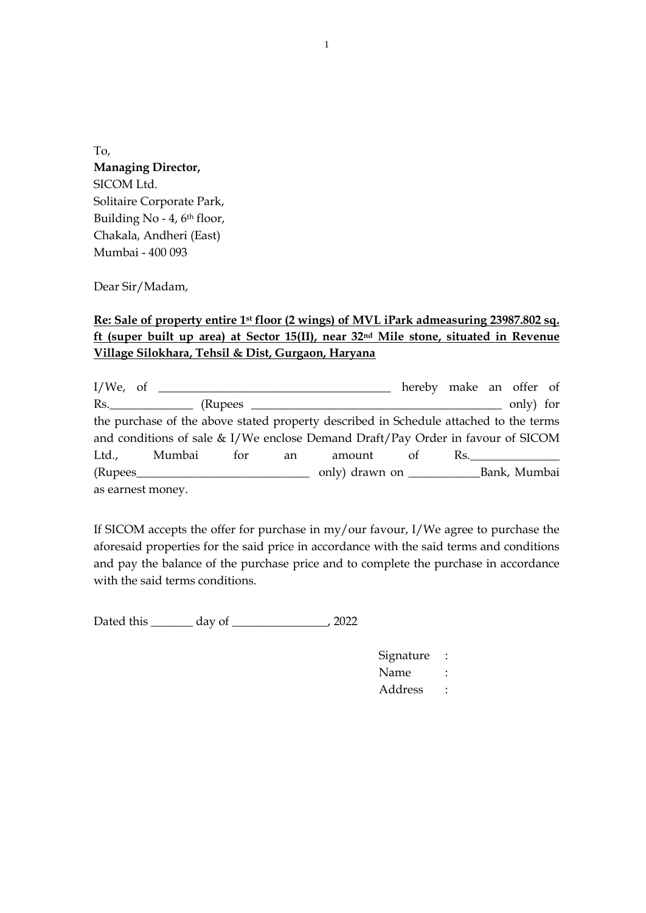To, **Managing Director,** SICOM Ltd. Solitaire Corporate Park, Building No - 4, 6<sup>th</sup> floor, Chakala, Andheri (East) Mumbai - 400 093

Dear Sir/Madam,

## **Re: Sale of property entire 1st floor (2 wings) of MVL iPark admeasuring 23987.802 sq. ft (super built up area) at Sector 15(II), near 32nd Mile stone, situated in Revenue Village Silokhara, Tehsil & Dist, Gurgaon, Haryana**

I/We, of \_\_\_\_\_\_\_\_\_\_\_\_\_\_\_\_\_\_\_\_\_\_\_\_\_\_\_\_\_\_\_\_\_\_\_\_\_\_\_ hereby make an offer of Rs.\_\_\_\_\_\_\_\_\_\_\_\_\_\_ (Rupees \_\_\_\_\_\_\_\_\_\_\_\_\_\_\_\_\_\_\_\_\_\_\_\_\_\_\_\_\_\_\_\_\_\_\_\_\_\_\_\_\_\_ only) for the purchase of the above stated property described in Schedule attached to the terms and conditions of sale & I/We enclose Demand Draft/Pay Order in favour of SICOM Ltd., Mumbai for an amount of Rs.\_\_\_\_\_\_\_\_\_\_\_\_\_\_\_ (Rupees\_\_\_\_\_\_\_\_\_\_\_\_\_\_\_\_\_\_\_\_\_\_\_\_\_\_\_\_\_ only) drawn on \_\_\_\_\_\_\_\_\_\_\_\_Bank, Mumbai as earnest money.

If SICOM accepts the offer for purchase in my/our favour, I/We agree to purchase the aforesaid properties for the said price in accordance with the said terms and conditions and pay the balance of the purchase price and to complete the purchase in accordance with the said terms conditions.

Dated this \_\_\_\_\_\_\_ day of \_\_\_\_\_\_\_\_\_\_\_\_\_\_\_\_, 2022

| Signature |  |
|-----------|--|
| Name      |  |
| Address   |  |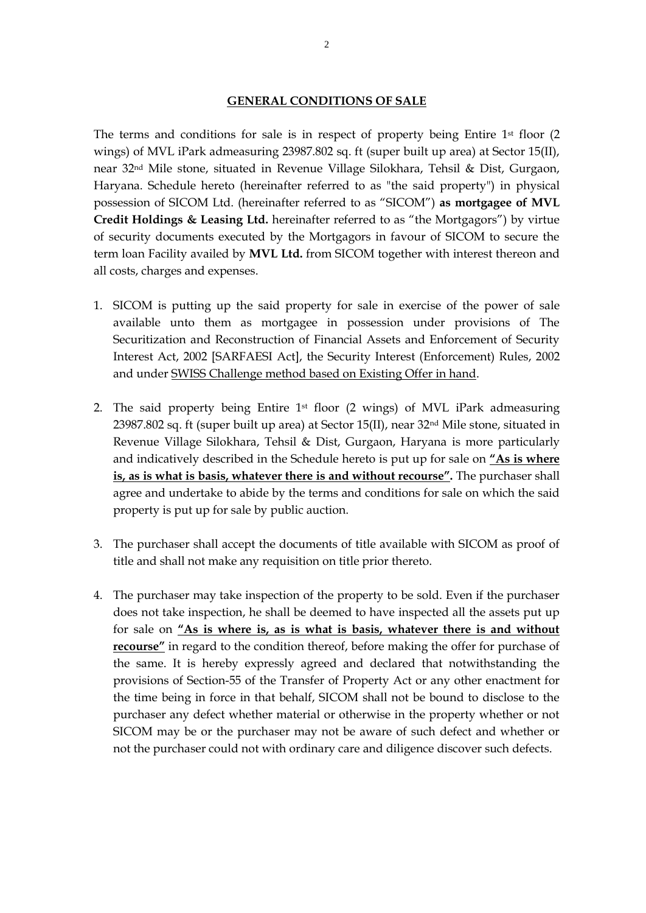## **GENERAL CONDITIONS OF SALE**

The terms and conditions for sale is in respect of property being Entire  $1<sup>st</sup>$  floor (2) wings) of MVL iPark admeasuring 23987.802 sq. ft (super built up area) at Sector 15(II), near 32nd Mile stone, situated in Revenue Village Silokhara, Tehsil & Dist, Gurgaon, Haryana. Schedule hereto (hereinafter referred to as "the said property") in physical possession of SICOM Ltd. (hereinafter referred to as "SICOM") **as mortgagee of MVL Credit Holdings & Leasing Ltd.** hereinafter referred to as "the Mortgagors") by virtue of security documents executed by the Mortgagors in favour of SICOM to secure the term loan Facility availed by **MVL Ltd.** from SICOM together with interest thereon and all costs, charges and expenses.

- 1. SICOM is putting up the said property for sale in exercise of the power of sale available unto them as mortgagee in possession under provisions of The Securitization and Reconstruction of Financial Assets and Enforcement of Security Interest Act, 2002 [SARFAESI Act], the Security Interest (Enforcement) Rules, 2002 and under SWISS Challenge method based on Existing Offer in hand.
- 2. The said property being Entire 1st floor (2 wings) of MVL iPark admeasuring 23987.802 sq. ft (super built up area) at Sector 15(II), near  $32<sup>nd</sup>$  Mile stone, situated in Revenue Village Silokhara, Tehsil & Dist, Gurgaon, Haryana is more particularly and indicatively described in the Schedule hereto is put up for sale on **"As is where is, as is what is basis, whatever there is and without recourse".** The purchaser shall agree and undertake to abide by the terms and conditions for sale on which the said property is put up for sale by public auction.
- 3. The purchaser shall accept the documents of title available with SICOM as proof of title and shall not make any requisition on title prior thereto.
- 4. The purchaser may take inspection of the property to be sold. Even if the purchaser does not take inspection, he shall be deemed to have inspected all the assets put up for sale on **"As is where is, as is what is basis, whatever there is and without recourse"** in regard to the condition thereof, before making the offer for purchase of the same. It is hereby expressly agreed and declared that notwithstanding the provisions of Section-55 of the Transfer of Property Act or any other enactment for the time being in force in that behalf, SICOM shall not be bound to disclose to the purchaser any defect whether material or otherwise in the property whether or not SICOM may be or the purchaser may not be aware of such defect and whether or not the purchaser could not with ordinary care and diligence discover such defects.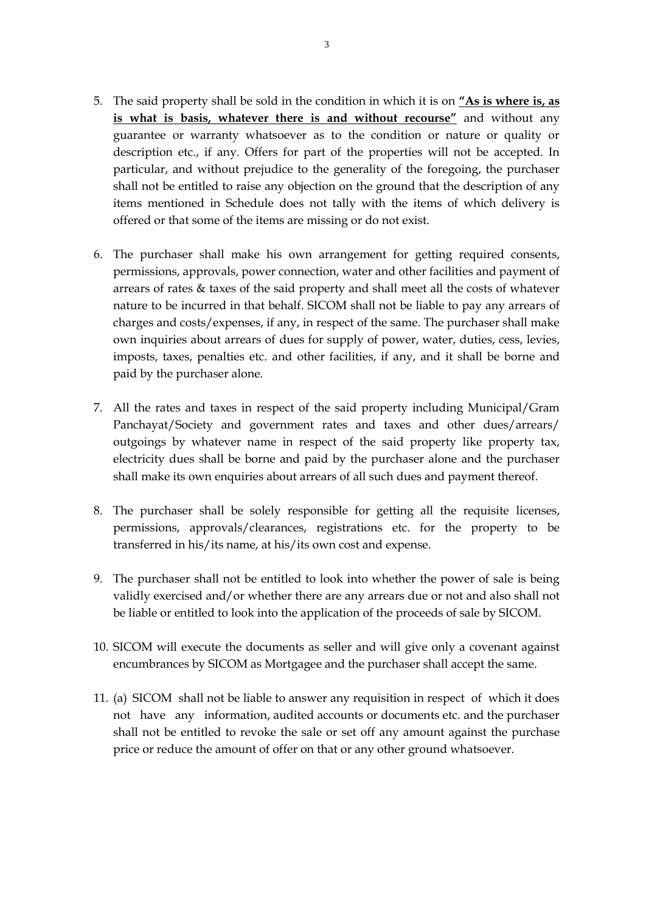- 5. The said property shall be sold in the condition in which it is on **"As is where is, as is what is basis, whatever there is and without recourse"** and without any guarantee or warranty whatsoever as to the condition or nature or quality or description etc., if any. Offers for part of the properties will not be accepted. In particular, and without prejudice to the generality of the foregoing, the purchaser shall not be entitled to raise any objection on the ground that the description of any items mentioned in Schedule does not tally with the items of which delivery is offered or that some of the items are missing or do not exist.
- 6. The purchaser shall make his own arrangement for getting required consents, permissions, approvals, power connection, water and other facilities and payment of arrears of rates & taxes of the said property and shall meet all the costs of whatever nature to be incurred in that behalf. SICOM shall not be liable to pay any arrears of charges and costs/expenses, if any, in respect of the same. The purchaser shall make own inquiries about arrears of dues for supply of power, water, duties, cess, levies, imposts, taxes, penalties etc. and other facilities, if any, and it shall be borne and paid by the purchaser alone.
- 7. All the rates and taxes in respect of the said property including Municipal/Gram Panchayat/Society and government rates and taxes and other dues/arrears/ outgoings by whatever name in respect of the said property like property tax, electricity dues shall be borne and paid by the purchaser alone and the purchaser shall make its own enquiries about arrears of all such dues and payment thereof.
- 8. The purchaser shall be solely responsible for getting all the requisite licenses, permissions, approvals/clearances, registrations etc. for the property to be transferred in his/its name, at his/its own cost and expense.
- 9. The purchaser shall not be entitled to look into whether the power of sale is being validly exercised and/or whether there are any arrears due or not and also shall not be liable or entitled to look into the application of the proceeds of sale by SICOM.
- 10. SICOM will execute the documents as seller and will give only a covenant against encumbrances by SICOM as Mortgagee and the purchaser shall accept the same.
- 11. (a) SICOM shall not be liable to answer any requisition in respect of which it does not have any information, audited accounts or documents etc. and the purchaser shall not be entitled to revoke the sale or set off any amount against the purchase price or reduce the amount of offer on that or any other ground whatsoever.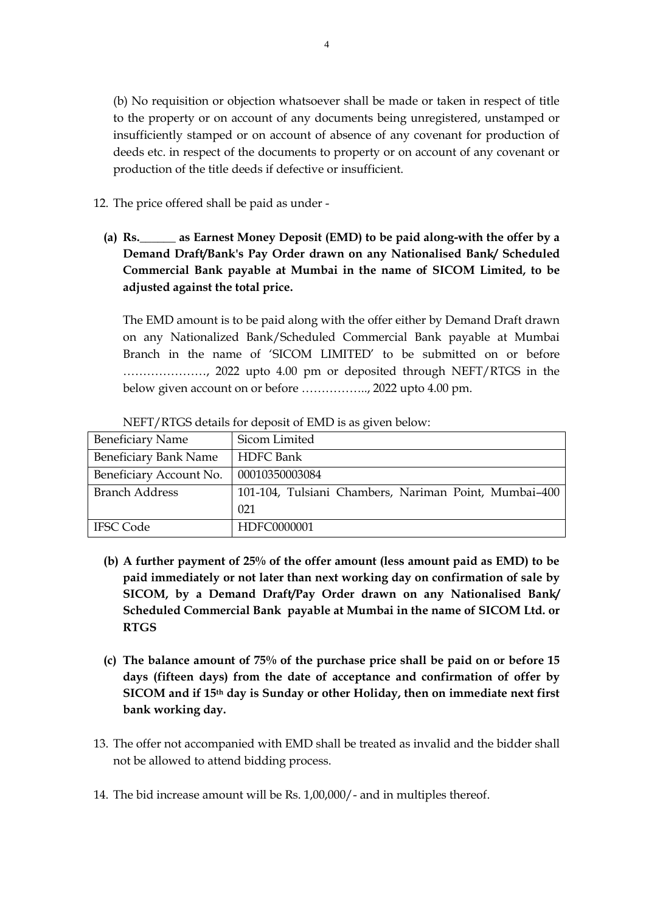(b) No requisition or objection whatsoever shall be made or taken in respect of title to the property or on account of any documents being unregistered, unstamped or insufficiently stamped or on account of absence of any covenant for production of deeds etc. in respect of the documents to property or on account of any covenant or production of the title deeds if defective or insufficient.

12. The price offered shall be paid as under -

**(a) Rs.\_\_\_\_\_\_ as Earnest Money Deposit (EMD) to be paid along-with the offer by a Demand Draft/Bank's Pay Order drawn on any Nationalised Bank/ Scheduled Commercial Bank payable at Mumbai in the name of SICOM Limited, to be adjusted against the total price.**

The EMD amount is to be paid along with the offer either by Demand Draft drawn on any Nationalized Bank/Scheduled Commercial Bank payable at Mumbai Branch in the name of 'SICOM LIMITED' to be submitted on or before …………………, 2022 upto 4.00 pm or deposited through NEFT/RTGS in the below given account on or before …………….., 2022 upto 4.00 pm.

| <b>Beneficiary Name</b>      | Sicom Limited                                         |
|------------------------------|-------------------------------------------------------|
| <b>Beneficiary Bank Name</b> | <b>HDFC</b> Bank                                      |
| Beneficiary Account No.      | 00010350003084                                        |
| <b>Branch Address</b>        | 101-104, Tulsiani Chambers, Nariman Point, Mumbai-400 |
|                              | 021                                                   |
| <b>IFSC Code</b>             | HDFC0000001                                           |

NEFT/RTGS details for deposit of EMD is as given below:

- **(b) A further payment of 25% of the offer amount (less amount paid as EMD) to be paid immediately or not later than next working day on confirmation of sale by SICOM, by a Demand Draft/Pay Order drawn on any Nationalised Bank/ Scheduled Commercial Bank payable at Mumbai in the name of SICOM Ltd. or RTGS**
- **(c) The balance amount of 75% of the purchase price shall be paid on or before 15 days (fifteen days) from the date of acceptance and confirmation of offer by SICOM and if 15th day is Sunday or other Holiday, then on immediate next first bank working day.**
- 13. The offer not accompanied with EMD shall be treated as invalid and the bidder shall not be allowed to attend bidding process.
- 14. The bid increase amount will be Rs. 1,00,000/- and in multiples thereof.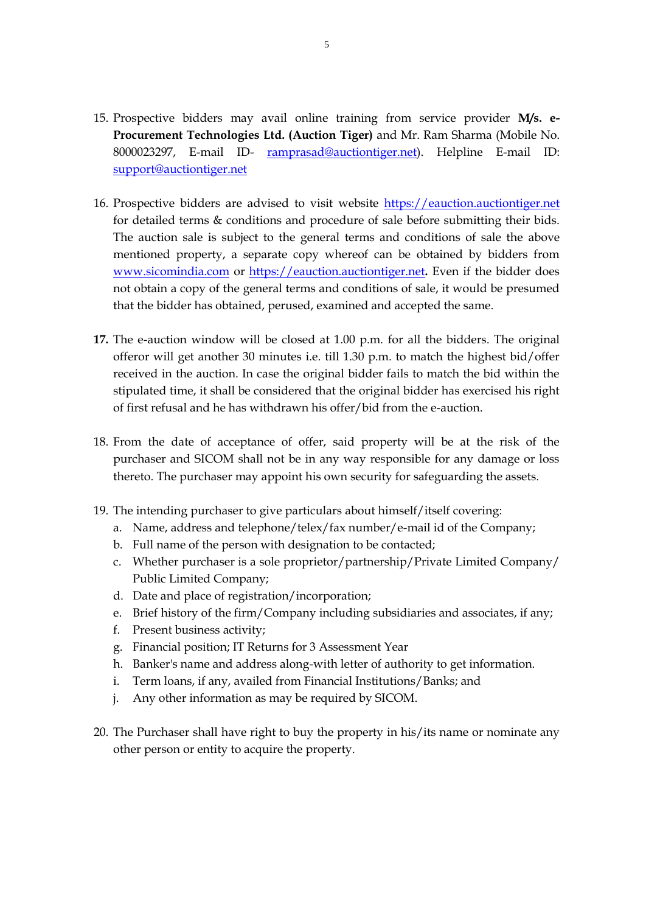- 15. Prospective bidders may avail online training from service provider **M/s. e-Procurement Technologies Ltd. (Auction Tiger)** and Mr. Ram Sharma (Mobile No. 8000023297, E-mail ID- [ramprasad@auctiontiger.net\)](mailto:ramprasad@auctiontiger.net). Helpline E-mail ID: [support@auctiontiger.net](mailto:support@auctiontiger.net)
- 16. Prospective bidders are advised to visit website [https://eauction.auctiontiger.net](https://eauction.auctiontiger.net/) for detailed terms & conditions and procedure of sale before submitting their bids. The auction sale is subject to the general terms and conditions of sale the above mentioned property, a separate copy whereof can be obtained by bidders from [www.sicomindia.com](http://www.sicomindia.com/) or [https://eauction.auctiontiger.net](https://eauction.auctiontiger.net/)**.** Even if the bidder does not obtain a copy of the general terms and conditions of sale, it would be presumed that the bidder has obtained, perused, examined and accepted the same.
- **17.** The e-auction window will be closed at 1.00 p.m. for all the bidders. The original offeror will get another 30 minutes i.e. till 1.30 p.m. to match the highest bid/offer received in the auction. In case the original bidder fails to match the bid within the stipulated time, it shall be considered that the original bidder has exercised his right of first refusal and he has withdrawn his offer/bid from the e-auction.
- 18. From the date of acceptance of offer, said property will be at the risk of the purchaser and SICOM shall not be in any way responsible for any damage or loss thereto. The purchaser may appoint his own security for safeguarding the assets.
- 19. The intending purchaser to give particulars about himself/itself covering:
	- a. Name, address and telephone/telex/fax number/e-mail id of the Company;
	- b. Full name of the person with designation to be contacted;
	- c. Whether purchaser is a sole proprietor/partnership/Private Limited Company/ Public Limited Company;
	- d. Date and place of registration/incorporation;
	- e. Brief history of the firm/Company including subsidiaries and associates, if any;
	- f. Present business activity;
	- g. Financial position; IT Returns for 3 Assessment Year
	- h. Banker's name and address along-with letter of authority to get information.
	- i. Term loans, if any, availed from Financial Institutions/Banks; and
	- j. Any other information as may be required by SICOM.
- 20. The Purchaser shall have right to buy the property in his/its name or nominate any other person or entity to acquire the property.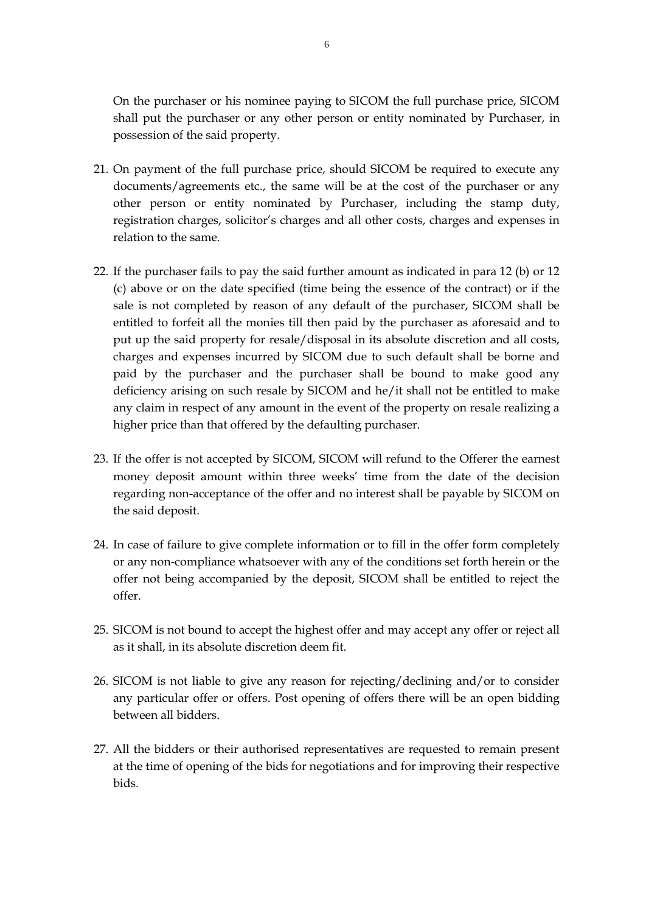On the purchaser or his nominee paying to SICOM the full purchase price, SICOM shall put the purchaser or any other person or entity nominated by Purchaser, in possession of the said property.

- 21. On payment of the full purchase price, should SICOM be required to execute any documents/agreements etc., the same will be at the cost of the purchaser or any other person or entity nominated by Purchaser, including the stamp duty, registration charges, solicitor's charges and all other costs, charges and expenses in relation to the same.
- 22. If the purchaser fails to pay the said further amount as indicated in para 12 (b) or 12 (c) above or on the date specified (time being the essence of the contract) or if the sale is not completed by reason of any default of the purchaser, SICOM shall be entitled to forfeit all the monies till then paid by the purchaser as aforesaid and to put up the said property for resale/disposal in its absolute discretion and all costs, charges and expenses incurred by SICOM due to such default shall be borne and paid by the purchaser and the purchaser shall be bound to make good any deficiency arising on such resale by SICOM and he/it shall not be entitled to make any claim in respect of any amount in the event of the property on resale realizing a higher price than that offered by the defaulting purchaser.
- 23. If the offer is not accepted by SICOM, SICOM will refund to the Offerer the earnest money deposit amount within three weeks' time from the date of the decision regarding non-acceptance of the offer and no interest shall be payable by SICOM on the said deposit.
- 24. In case of failure to give complete information or to fill in the offer form completely or any non-compliance whatsoever with any of the conditions set forth herein or the offer not being accompanied by the deposit, SICOM shall be entitled to reject the offer.
- 25. SICOM is not bound to accept the highest offer and may accept any offer or reject all as it shall, in its absolute discretion deem fit.
- 26. SICOM is not liable to give any reason for rejecting/declining and/or to consider any particular offer or offers. Post opening of offers there will be an open bidding between all bidders.
- 27. All the bidders or their authorised representatives are requested to remain present at the time of opening of the bids for negotiations and for improving their respective bids.